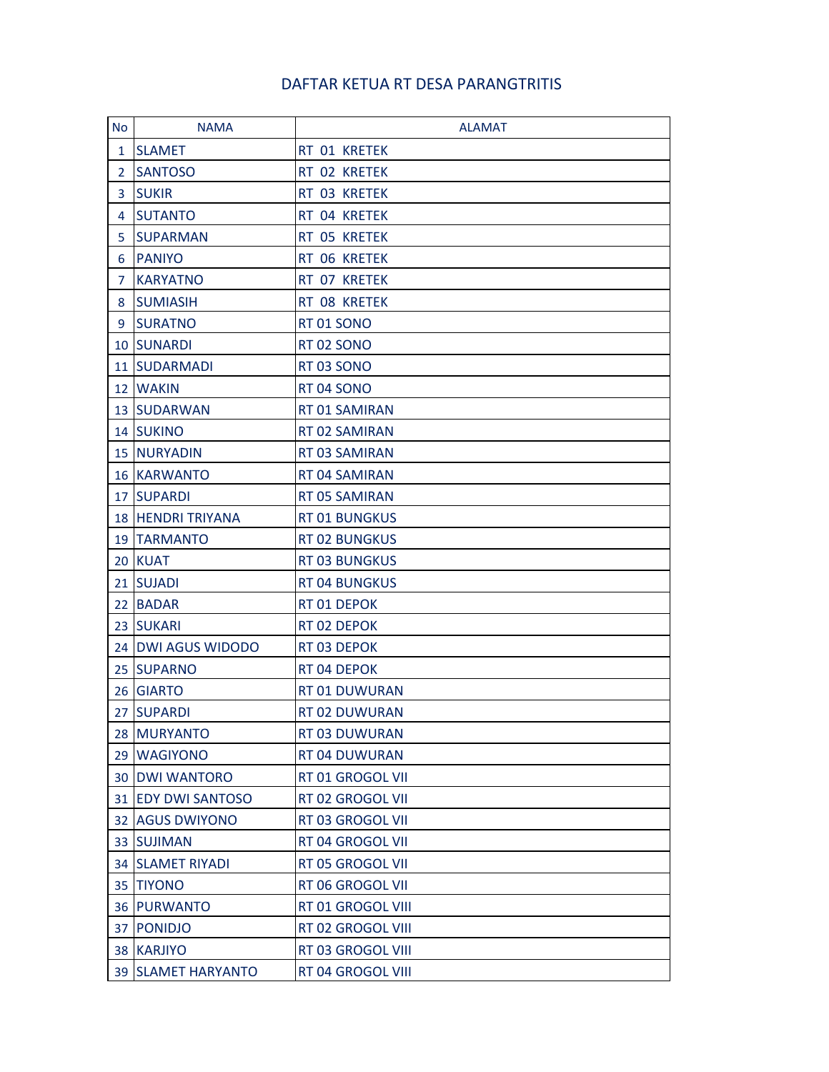## DAFTAR KETUA RT DESA PARANGTRITIS

| <b>No</b>      | <b>NAMA</b>              | <b>ALAMAT</b>        |
|----------------|--------------------------|----------------------|
| 1              | <b>SLAMET</b>            | RT 01 KRETEK         |
| $\overline{2}$ | <b>SANTOSO</b>           | RT 02 KRETEK         |
| 3              | <b>SUKIR</b>             | RT 03 KRETEK         |
| 4              | <b>SUTANTO</b>           | RT 04 KRETEK         |
| 5              | <b>SUPARMAN</b>          | RT 05 KRETEK         |
| 6              | <b>PANIYO</b>            | RT 06 KRETEK         |
| 7              | <b>KARYATNO</b>          | RT 07 KRETEK         |
| 8              | <b>SUMIASIH</b>          | RT 08 KRETEK         |
| 9              | <b>SURATNO</b>           | RT 01 SONO           |
| 10             | <b>SUNARDI</b>           | RT 02 SONO           |
| 11             | <b>SUDARMADI</b>         | RT03 SONO            |
|                | 12 WAKIN                 | RT 04 SONO           |
| 13             | <b>SUDARWAN</b>          | RT 01 SAMIRAN        |
|                | 14 SUKINO                | RT 02 SAMIRAN        |
|                | <b>15 NURYADIN</b>       | RT 03 SAMIRAN        |
|                | <b>16 KARWANTO</b>       | RT 04 SAMIRAN        |
| 17             | <b>SUPARDI</b>           | RT 05 SAMIRAN        |
|                | <b>18 HENDRI TRIYANA</b> | <b>RT 01 BUNGKUS</b> |
| 19             | <b>TARMANTO</b>          | <b>RT 02 BUNGKUS</b> |
| 20             | <b>KUAT</b>              | <b>RT 03 BUNGKUS</b> |
|                | 21 SUJADI                | <b>RT 04 BUNGKUS</b> |
| 22             | <b>BADAR</b>             | RT 01 DEPOK          |
| 23             | <b>SUKARI</b>            | RT 02 DEPOK          |
|                | 24 DWI AGUS WIDODO       | RT 03 DEPOK          |
| 25             | <b>SUPARNO</b>           | RT 04 DEPOK          |
|                | 26 GIARTO                | RT 01 DUWURAN        |
| 27             | <b>SUPARDI</b>           | RT 02 DUWURAN        |
| 28             | <b>MURYANTO</b>          | RT 03 DUWURAN        |
| 29             | <b>WAGIYONO</b>          | RT 04 DUWURAN        |
| 30             | <b>DWI WANTORO</b>       | RT 01 GROGOL VII     |
| 31             | <b>EDY DWI SANTOSO</b>   | RT 02 GROGOL VII     |
| 32             | <b>AGUS DWIYONO</b>      | RT 03 GROGOL VII     |
| 33             | <b>SUJIMAN</b>           | RT 04 GROGOL VII     |
| 34             | <b>SLAMET RIYADI</b>     | RT 05 GROGOL VII     |
| 35             | <b>TIYONO</b>            | RT 06 GROGOL VII     |
| 36             | <b>PURWANTO</b>          | RT 01 GROGOL VIII    |
| 37             | <b>PONIDJO</b>           | RT 02 GROGOL VIII    |
| 38             | <b>KARJIYO</b>           | RT 03 GROGOL VIII    |
| 39             | <b>SLAMET HARYANTO</b>   | RT 04 GROGOL VIII    |